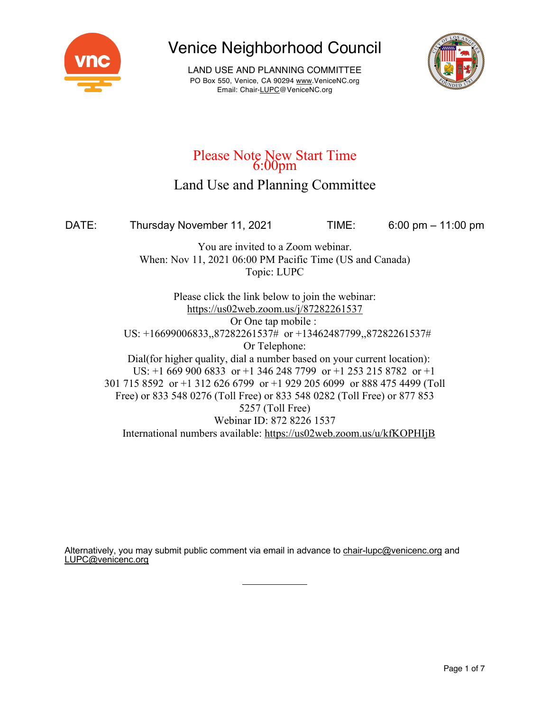

LAND USE AND PLANNING COMMITTEE PO Box 550, Venice, CA 90294 www.VeniceNC.org Email: Chair-LUPC@VeniceNC.org



# Please Note New Start Time<br>6:00pm

### Land Use and Planning Committee

DATE: Thursday November 11, 2021 TIME: 6:00 pm – 11:00 pm

You are invited to a Zoom webinar. When: Nov 11, 2021 06:00 PM Pacific Time (US and Canada) Topic: LUPC

Please click the link below to join the webinar: https://us02web.zoom.us/j/87282261537 Or One tap mobile : US: +16699006833,,87282261537# or +13462487799,,87282261537# Or Telephone: Dial(for higher quality, dial a number based on your current location): US: +1 669 900 6833 or +1 346 248 7799 or +1 253 215 8782 or +1 301 715 8592 or +1 312 626 6799 or +1 929 205 6099 or 888 475 4499 (Toll Free) or 833 548 0276 (Toll Free) or 833 548 0282 (Toll Free) or 877 853 5257 (Toll Free) Webinar ID: 872 8226 1537 International numbers available: https://us02web.zoom.us/u/kfKOPHIjB

Alternatively, you may submit public comment via email in advance to chair-lupc@venicenc.org and LUPC@venicenc.org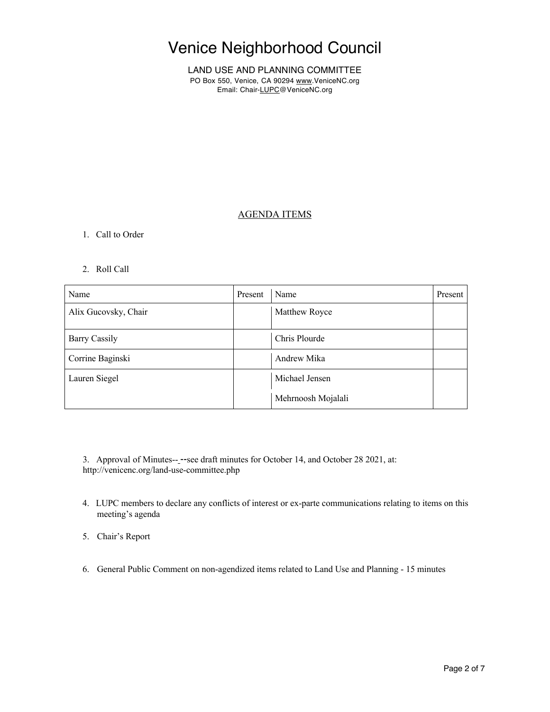LAND USE AND PLANNING COMMITTEE PO Box 550, Venice, CA 90294 www.VeniceNC.org Email: Chair-LUPC@VeniceNC.org

### AGENDA ITEMS

#### 1. Call to Order

#### 2. Roll Call

| Name                 | Present | Name               | Present |
|----------------------|---------|--------------------|---------|
| Alix Gucovsky, Chair |         | Matthew Royce      |         |
| <b>Barry Cassily</b> |         | Chris Plourde      |         |
| Corrine Baginski     |         | Andrew Mika        |         |
| Lauren Siegel        |         | Michael Jensen     |         |
|                      |         | Mehrnoosh Mojalali |         |

3. Approval of Minutes-- --see draft minutes for October 14, and October 28 2021, at: http://venicenc.org/land-use-committee.php

- 4. LUPC members to declare any conflicts of interest or ex-parte communications relating to items on this meeting's agenda
- 5. Chair's Report
- 6. General Public Comment on non-agendized items related to Land Use and Planning 15 minutes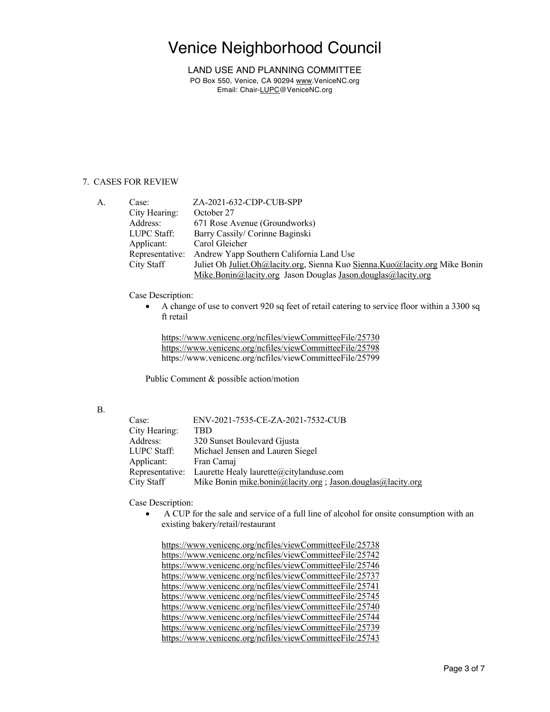LAND USE AND PLANNING COMMITTEE PO Box 550, Venice, CA 90294 www.VeniceNC.org Email: Chair-LUPC@VeniceNC.org

#### 7. CASES FOR REVIEW

| A. | Case:           | ZA-2021-632-CDP-CUB-SPP                                                     |
|----|-----------------|-----------------------------------------------------------------------------|
|    | City Hearing:   | October 27                                                                  |
|    | Address:        | 671 Rose Avenue (Groundworks)                                               |
|    | LUPC Staff:     | Barry Cassily/ Corinne Baginski                                             |
|    | Applicant:      | Carol Gleicher                                                              |
|    | Representative: | Andrew Yapp Southern California Land Use                                    |
|    | City Staff      | Juliet Oh Juliet.Oh@lacity.org, Sienna Kuo Sienna.Kuo@lacity.org Mike Bonin |
|    |                 | Mike.Bonin@lacity.org Jason Douglas Jason.douglas@lacity.org                |

Case Description:

• A change of use to convert 920 sq feet of retail catering to service floor within a 3300 sq ft retail

https://www.venicenc.org/ncfiles/viewCommitteeFile/25730 https://www.venicenc.org/ncfiles/viewCommitteeFile/25798 https://www.venicenc.org/ncfiles/viewCommitteeFile/25799

Public Comment & possible action/motion

#### B.

| Case:           | ENV-2021-7535-CE-ZA-2021-7532-CUB                           |
|-----------------|-------------------------------------------------------------|
| City Hearing:   | TBD                                                         |
| Address:        | 320 Sunset Boulevard Gjusta                                 |
| LUPC Staff:     | Michael Jensen and Lauren Siegel                            |
| Applicant:      | Fran Camaj                                                  |
| Representative: | Laurette Healy laurette@citylanduse.com                     |
| City Staff      | Mike Bonin mike.bonin@lacity.org ; Jason.douglas@lacity.org |

Case Description:

• A CUP for the sale and service of a full line of alcohol for onsite consumption with an existing bakery/retail/restaurant

https://www.venicenc.org/ncfiles/viewCommitteeFile/25738 https://www.venicenc.org/ncfiles/viewCommitteeFile/25742 https://www.venicenc.org/ncfiles/viewCommitteeFile/25746 https://www.venicenc.org/ncfiles/viewCommitteeFile/25737 https://www.venicenc.org/ncfiles/viewCommitteeFile/25741 https://www.venicenc.org/ncfiles/viewCommitteeFile/25745 https://www.venicenc.org/ncfiles/viewCommitteeFile/25740 https://www.venicenc.org/ncfiles/viewCommitteeFile/25744 https://www.venicenc.org/ncfiles/viewCommitteeFile/25739 https://www.venicenc.org/ncfiles/viewCommitteeFile/25743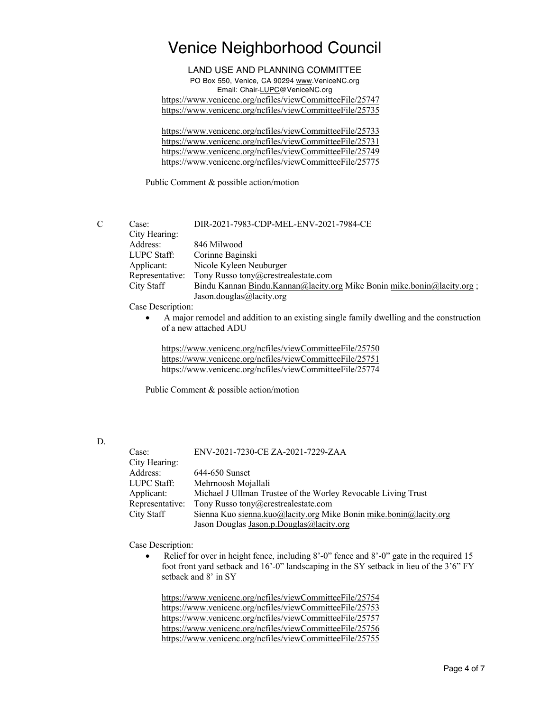LAND USE AND PLANNING COMMITTEE PO Box 550, Venice, CA 90294 www.VeniceNC.org Email: Chair-LUPC@VeniceNC.org https://www.venicenc.org/ncfiles/viewCommitteeFile/25747 https://www.venicenc.org/ncfiles/viewCommitteeFile/25735

https://www.venicenc.org/ncfiles/viewCommitteeFile/25733 https://www.venicenc.org/ncfiles/viewCommitteeFile/25731 https://www.venicenc.org/ncfiles/viewCommitteeFile/25749 https://www.venicenc.org/ncfiles/viewCommitteeFile/25775

Public Comment & possible action/motion

C Case: DIR-2021-7983-CDP-MEL-ENV-2021-7984-CE City Hearing: Address: 846 Milwood LUPC Staff: Corinne Baginski Applicant: Nicole Kyleen Neuburger Representative: Tony Russo tony@crestrealestate.com City Staff Bindu Kannan Bindu.Kannan@lacity.org Mike Bonin mike.bonin@lacity.org ; Jason.douglas@lacity.org

Case Description:

• A major remodel and addition to an existing single family dwelling and the construction of a new attached ADU

https://www.venicenc.org/ncfiles/viewCommitteeFile/25750 https://www.venicenc.org/ncfiles/viewCommitteeFile/25751 https://www.venicenc.org/ncfiles/viewCommitteeFile/25774

Public Comment & possible action/motion

D.

| Case:           | ENV-2021-7230-CE ZA-2021-7229-ZAA                                 |
|-----------------|-------------------------------------------------------------------|
| City Hearing:   |                                                                   |
| Address:        | 644-650 Sunset                                                    |
| LUPC Staff:     | Mehrnoosh Mojallali                                               |
| Applicant:      | Michael J Ullman Trustee of the Worley Revocable Living Trust     |
| Representative: | Tony Russo tony@crestrealestate.com                               |
| City Staff      | Sienna Kuo sienna.kuo@lacity.org Mike Bonin mike.bonin@lacity.org |
|                 | Jason Douglas Jason.p.Douglas@lacity.org                          |

Case Description:

Relief for over in height fence, including 8'-0" fence and 8'-0" gate in the required 15 foot front yard setback and 16'-0" landscaping in the SY setback in lieu of the 3'6" FY setback and 8' in SY

https://www.venicenc.org/ncfiles/viewCommitteeFile/25754 https://www.venicenc.org/ncfiles/viewCommitteeFile/25753 https://www.venicenc.org/ncfiles/viewCommitteeFile/25757 https://www.venicenc.org/ncfiles/viewCommitteeFile/25756 https://www.venicenc.org/ncfiles/viewCommitteeFile/25755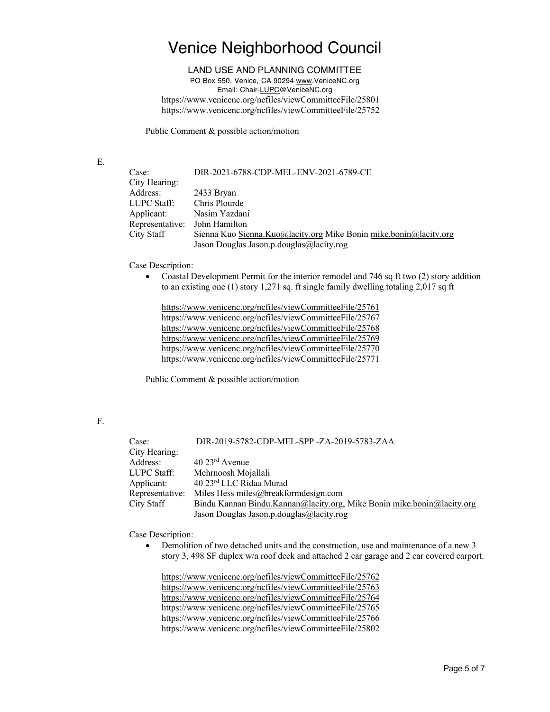#### LAND USE AND PLANNING COMMITTEE

PO Box 550, Venice, CA 90294 www.VeniceNC.org Email: Chair-LUPC@VeniceNC.org https://www.venicenc.org/ncfiles/viewCommitteeFile/25801 https://www.venicenc.org/ncfiles/viewCommitteeFile/25752

Public Comment & possible action/motion

E.

| Case:           | DIR-2021-6788-CDP-MEL-ENV-2021-6789-CE                              |
|-----------------|---------------------------------------------------------------------|
| City Hearing:   |                                                                     |
| Address:        | 2433 Bryan                                                          |
| LUPC Staff:     | Chris Plourde                                                       |
| Applicant:      | Nasim Yazdani                                                       |
| Representative: | John Hamilton                                                       |
| City Staff      | Sienna Kuo Sienna. Kuo@lacity.org Mike Bonin mike. bonin@lacity.org |
|                 | Jason Douglas Jason.p.douglas@lacity.rog                            |

Case Description:

• Coastal Development Permit for the interior remodel and 746 sq ft two (2) story addition to an existing one (1) story 1,271 sq. ft single family dwelling totaling 2,017 sq ft

https://www.venicenc.org/ncfiles/viewCommitteeFile/25761 https://www.venicenc.org/ncfiles/viewCommitteeFile/25767 https://www.venicenc.org/ncfiles/viewCommitteeFile/25768 https://www.venicenc.org/ncfiles/viewCommitteeFile/25769 https://www.venicenc.org/ncfiles/viewCommitteeFile/25770 https://www.venicenc.org/ncfiles/viewCommitteeFile/25771

Public Comment & possible action/motion

### F.

| Case:           | DIR-2019-5782-CDP-MEL-SPP-ZA-2019-5783-ZAA                             |
|-----------------|------------------------------------------------------------------------|
| City Hearing:   |                                                                        |
| Address:        | $40\ 23$ <sup>rd</sup> Avenue                                          |
| LUPC Staff:     | Mehrnoosh Mojallali                                                    |
| Applicant:      | 40 23rd LLC Ridaa Murad                                                |
| Representative: | Miles Hess miles@breakformdesign.com                                   |
| City Staff      | Bindu Kannan Bindu.Kannan@lacity.org, Mike Bonin mike.bonin@lacity.org |
|                 | Jason Douglas Jason.p.douglas@lacity.rog                               |

Case Description:

• Demolition of two detached units and the construction, use and maintenance of a new 3 story 3, 498 SF duplex w/a roof deck and attached 2 car garage and 2 car covered carport.

https://www.venicenc.org/ncfiles/viewCommitteeFile/25762 https://www.venicenc.org/ncfiles/viewCommitteeFile/25763 https://www.venicenc.org/ncfiles/viewCommitteeFile/25764 https://www.venicenc.org/ncfiles/viewCommitteeFile/25765 https://www.venicenc.org/ncfiles/viewCommitteeFile/25766 https://www.venicenc.org/ncfiles/viewCommitteeFile/25802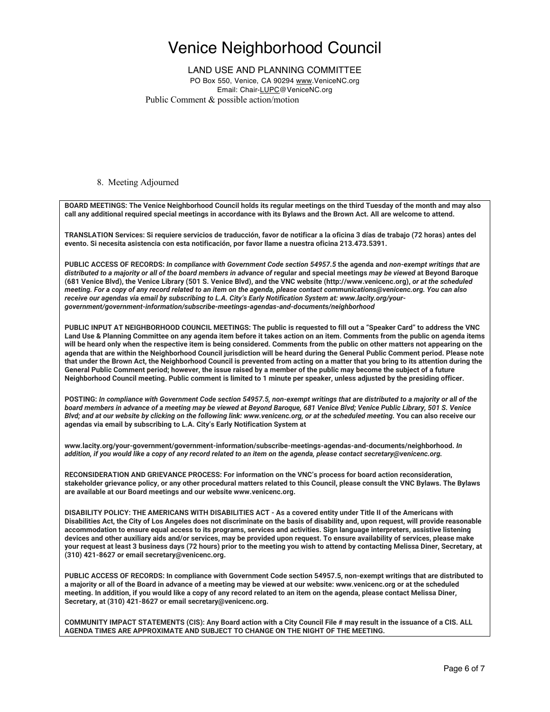### LAND USE AND PLANNING COMMITTEE

PO Box 550, Venice, CA 90294 www.VeniceNC.org Email: Chair-LUPC@VeniceNC.org Public Comment & possible action/motion

#### 8. Meeting Adjourned

**BOARD MEETINGS: The Venice Neighborhood Council holds its regular meetings on the third Tuesday of the month and may also call any additional required special meetings in accordance with its Bylaws and the Brown Act. All are welcome to attend.** 

**TRANSLATION Services: Si requiere servicios de traducción, favor de notificar a la oficina 3 días de trabajo (72 horas) antes del evento. Si necesita asistencia con esta notificación, por favor llame a nuestra oficina 213.473.5391.** 

**PUBLIC ACCESS OF RECORDS:** *In compliance with Government Code section 54957.5* **the agenda and** *non-exempt writings that are distributed to a majority or all of the board members in advance of* **regular and special meetings** *may be viewed* **at Beyond Baroque (681 Venice Blvd), the Venice Library (501 S. Venice Blvd), and the VNC website (http://www.venicenc.org),** *or at the scheduled meeting. For a copy of any record related to an item on the agenda, please contact communications@venicenc.org. You can also receive our agendas via email by subscribing to L.A. City's Early Notification System at: www.lacity.org/yourgovernment/government-information/subscribe-meetings-agendas-and-documents/neighborhood* 

**PUBLIC INPUT AT NEIGHBORHOOD COUNCIL MEETINGS: The public is requested to fill out a "Speaker Card" to address the VNC Land Use & Planning Committee on any agenda item before it takes action on an item. Comments from the public on agenda items will be heard only when the respective item is being considered. Comments from the public on other matters not appearing on the agenda that are within the Neighborhood Council jurisdiction will be heard during the General Public Comment period. Please note that under the Brown Act, the Neighborhood Council is prevented from acting on a matter that you bring to its attention during the General Public Comment period; however, the issue raised by a member of the public may become the subject of a future Neighborhood Council meeting. Public comment is limited to 1 minute per speaker, unless adjusted by the presiding officer.** 

**POSTING:** *In compliance with Government Code section 54957.5, non-exempt writings that are distributed to a majority or all of the board members in advance of a meeting may be viewed at Beyond Baroque, 681 Venice Blvd; Venice Public Library, 501 S. Venice Blvd; and at our website by clicking on the following link: www.venicenc.org, or at the scheduled meeting.* **You can also receive our agendas via email by subscribing to L.A. City's Early Notification System at** 

**www.lacity.org/your-government/government-information/subscribe-meetings-agendas-and-documents/neighborhood.** *In addition, if you would like a copy of any record related to an item on the agenda, please contact secretary@venicenc.org.* 

**RECONSIDERATION AND GRIEVANCE PROCESS: For information on the VNC's process for board action reconsideration, stakeholder grievance policy, or any other procedural matters related to this Council, please consult the VNC Bylaws. The Bylaws are available at our Board meetings and our website www.venicenc.org.** 

**DISABILITY POLICY: THE AMERICANS WITH DISABILITIES ACT - As a covered entity under Title II of the Americans with Disabilities Act, the City of Los Angeles does not discriminate on the basis of disability and, upon request, will provide reasonable accommodation to ensure equal access to its programs, services and activities. Sign language interpreters, assistive listening devices and other auxiliary aids and/or services, may be provided upon request. To ensure availability of services, please make your request at least 3 business days (72 hours) prior to the meeting you wish to attend by contacting Melissa Diner, Secretary, at (310) 421-8627 or email secretary@venicenc.org.** 

**PUBLIC ACCESS OF RECORDS: In compliance with Government Code section 54957.5, non-exempt writings that are distributed to a majority or all of the Board in advance of a meeting may be viewed at our website: www.venicenc.org or at the scheduled meeting. In addition, if you would like a copy of any record related to an item on the agenda, please contact Melissa Diner, Secretary, at (310) 421-8627 or email secretary@venicenc.org.** 

**COMMUNITY IMPACT STATEMENTS (CIS): Any Board action with a City Council File # may result in the issuance of a CIS. ALL AGENDA TIMES ARE APPROXIMATE AND SUBJECT TO CHANGE ON THE NIGHT OF THE MEETING.**